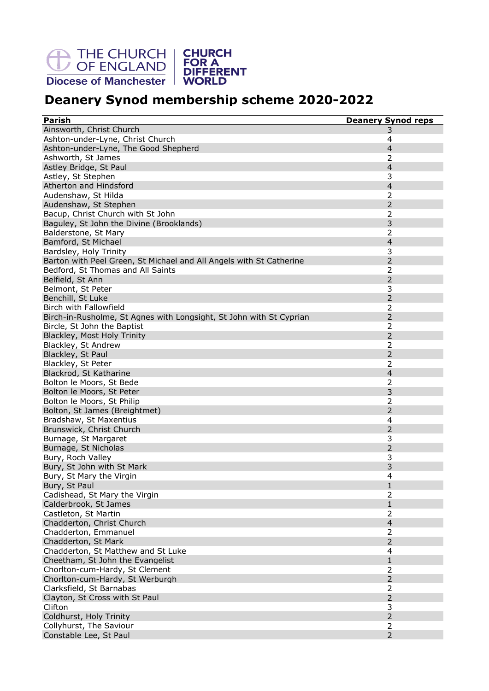THE CHURCH | CHURCH<br>
OF ENGLAND | FOR A<br>
Diocese of Manchester | WORLD



## **Deanery Synod membership scheme 2020-2022**

| <b>Parish</b>                                                       | <b>Deanery Synod reps</b>        |
|---------------------------------------------------------------------|----------------------------------|
| Ainsworth, Christ Church                                            | 3                                |
| Ashton-under-Lyne, Christ Church                                    | 4                                |
| Ashton-under-Lyne, The Good Shepherd                                | $\overline{4}$                   |
| Ashworth, St James                                                  | 2                                |
|                                                                     | $\overline{4}$                   |
| Astley Bridge, St Paul                                              | 3                                |
| Astley, St Stephen                                                  |                                  |
| Atherton and Hindsford                                              | $\overline{4}$                   |
| Audenshaw, St Hilda                                                 | 2                                |
| Audenshaw, St Stephen                                               | $\overline{2}$                   |
| Bacup, Christ Church with St John                                   | $\overline{2}$                   |
| Baguley, St John the Divine (Brooklands)                            | 3                                |
| Balderstone, St Mary                                                | 2                                |
| Bamford, St Michael                                                 | $\overline{4}$                   |
| Bardsley, Holy Trinity                                              | 3                                |
| Barton with Peel Green, St Michael and All Angels with St Catherine | $\overline{2}$                   |
| Bedford, St Thomas and All Saints                                   | 2                                |
| Belfield, St Ann                                                    | $\overline{2}$                   |
| Belmont, St Peter                                                   | 3                                |
| Benchill, St Luke                                                   | $\overline{2}$                   |
| Birch with Fallowfield                                              | $\overline{2}$                   |
| Birch-in-Rusholme, St Agnes with Longsight, St John with St Cyprian | $\overline{2}$                   |
| Bircle, St John the Baptist                                         | 2                                |
| Blackley, Most Holy Trinity                                         | $\overline{2}$                   |
| Blackley, St Andrew                                                 | 2                                |
| Blackley, St Paul                                                   | $\overline{2}$                   |
| Blackley, St Peter                                                  | $\overline{2}$                   |
| Blackrod, St Katharine                                              | $\overline{4}$                   |
| Bolton le Moors, St Bede                                            | $\overline{2}$                   |
| Bolton le Moors, St Peter                                           | 3                                |
| Bolton le Moors, St Philip                                          | $\overline{2}$                   |
| Bolton, St James (Breightmet)                                       | $\overline{2}$                   |
| Bradshaw, St Maxentius                                              | 4                                |
| Brunswick, Christ Church                                            | $\overline{2}$                   |
| Burnage, St Margaret                                                | 3                                |
| Burnage, St Nicholas                                                | 2                                |
| Bury, Roch Valley                                                   | 3                                |
| Bury, St John with St Mark                                          | 3                                |
| Bury, St Mary the Virgin                                            | $\overline{4}$                   |
| Bury, St Paul                                                       | 1                                |
| Cadishead, St Mary the Virgin                                       | $\overline{2}$                   |
| Calderbrook, St James                                               | $\mathbf{1}$                     |
| Castleton, St Martin                                                | 2                                |
| Chadderton, Christ Church                                           | $\overline{4}$                   |
|                                                                     |                                  |
| Chadderton, Emmanuel                                                | $\overline{2}$<br>$\overline{2}$ |
| Chadderton, St Mark                                                 |                                  |
| Chadderton, St Matthew and St Luke                                  | 4                                |
| Cheetham, St John the Evangelist                                    | $\mathbf{1}$                     |
| Chorlton-cum-Hardy, St Clement                                      | 2                                |
| Chorlton-cum-Hardy, St Werburgh                                     | $\overline{2}$                   |
| Clarksfield, St Barnabas                                            | $\overline{2}$                   |
| Clayton, St Cross with St Paul                                      | $\overline{2}$                   |
| Clifton                                                             | 3                                |
| Coldhurst, Holy Trinity                                             | $\overline{2}$                   |
| Collyhurst, The Saviour                                             | $\overline{2}$                   |
| Constable Lee, St Paul                                              | $\overline{2}$                   |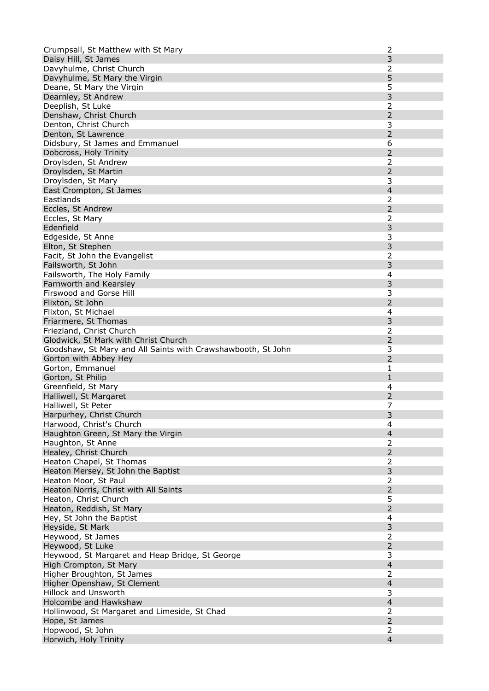| Crumpsall, St Matthew with St Mary                           | $\overline{2}$      |
|--------------------------------------------------------------|---------------------|
| Daisy Hill, St James                                         | 3                   |
| Davyhulme, Christ Church                                     | 2                   |
| Davyhulme, St Mary the Virgin                                | 5                   |
| Deane, St Mary the Virgin                                    | 5                   |
| Dearnley, St Andrew                                          | 3                   |
| Deeplish, St Luke                                            | 2                   |
| Denshaw, Christ Church                                       | $\overline{2}$      |
| Denton, Christ Church                                        | 3                   |
| Denton, St Lawrence                                          | $\overline{2}$      |
| Didsbury, St James and Emmanuel                              | 6                   |
| Dobcross, Holy Trinity                                       | $\overline{2}$      |
| Droylsden, St Andrew                                         | 2                   |
| Droylsden, St Martin                                         | $\overline{2}$      |
| Droylsden, St Mary                                           | 3                   |
| East Crompton, St James                                      | $\overline{4}$      |
| Eastlands                                                    | 2                   |
| Eccles, St Andrew                                            | $\overline{2}$      |
| Eccles, St Mary                                              | $\overline{2}$      |
| Edenfield                                                    | 3                   |
| Edgeside, St Anne                                            | 3                   |
| Elton, St Stephen                                            | 3                   |
| Facit, St John the Evangelist                                | $\overline{2}$      |
| Failsworth, St John                                          | 3                   |
| Failsworth, The Holy Family                                  | 4                   |
| Farnworth and Kearsley                                       | 3                   |
| Firswood and Gorse Hill                                      | 3                   |
| Flixton, St John                                             | $\overline{2}$      |
| Flixton, St Michael                                          | 4                   |
| Friarmere, St Thomas                                         | 3                   |
| Friezland, Christ Church                                     | $\overline{2}$      |
| Glodwick, St Mark with Christ Church                         | $\overline{2}$      |
|                                                              |                     |
| Goodshaw, St Mary and All Saints with Crawshawbooth, St John | 3                   |
| Gorton with Abbey Hey                                        | $\overline{2}$      |
| Gorton, Emmanuel                                             | 1                   |
| Gorton, St Philip                                            | $\mathbf{1}$        |
| Greenfield, St Mary                                          | 4                   |
| Halliwell, St Margaret                                       | $\overline{2}$      |
| Halliwell, St Peter                                          | 7                   |
| Harpurhey, Christ Church                                     | 3                   |
| Harwood, Christ's Church                                     | 4                   |
| Haughton Green, St Mary the Virgin                           | $\overline{4}$      |
| Haughton, St Anne                                            | 2                   |
| Healey, Christ Church                                        | $\overline{2}$      |
| Heaton Chapel, St Thomas                                     | 2                   |
| Heaton Mersey, St John the Baptist                           | 3                   |
| Heaton Moor, St Paul                                         | 2                   |
| Heaton Norris, Christ with All Saints                        | $\overline{2}$      |
| Heaton, Christ Church                                        | 5                   |
| Heaton, Reddish, St Mary                                     | $\overline{2}$      |
| Hey, St John the Baptist                                     | 4                   |
| Heyside, St Mark                                             | 3                   |
| Heywood, St James                                            | 2                   |
| Heywood, St Luke                                             | $\overline{2}$      |
| Heywood, St Margaret and Heap Bridge, St George              | 3                   |
| High Crompton, St Mary                                       | $\overline{4}$      |
| Higher Broughton, St James                                   | 2                   |
| Higher Openshaw, St Clement                                  | $\overline{4}$      |
| Hillock and Unsworth                                         | 3                   |
| Holcombe and Hawkshaw                                        | $\overline{4}$      |
| Hollinwood, St Margaret and Limeside, St Chad                | 2                   |
| Hope, St James                                               | $\overline{2}$      |
| Hopwood, St John<br>Horwich, Holy Trinity                    | 2<br>$\overline{4}$ |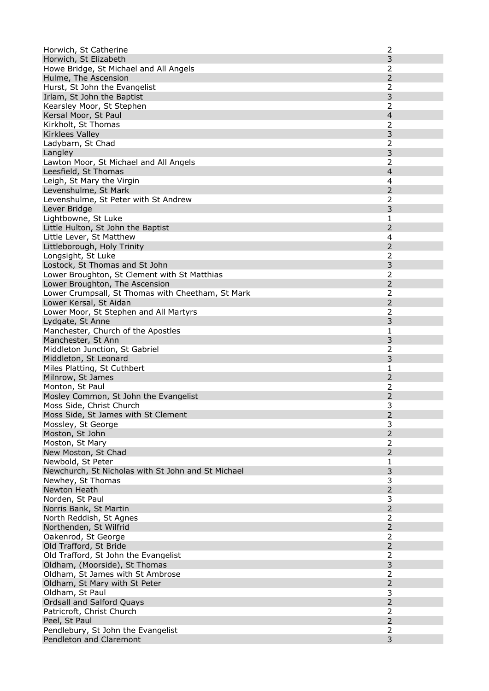| Horwich, St Catherine                              | $\overline{2}$ |
|----------------------------------------------------|----------------|
| Horwich, St Elizabeth                              | 3              |
| Howe Bridge, St Michael and All Angels             | 2              |
| Hulme, The Ascension                               | $\overline{2}$ |
| Hurst, St John the Evangelist                      | 2              |
| Irlam, St John the Baptist                         | 3              |
| Kearsley Moor, St Stephen                          | 2              |
| Kersal Moor, St Paul                               | $\overline{4}$ |
| Kirkholt, St Thomas                                | 2              |
| Kirklees Valley                                    | 3              |
| Ladybarn, St Chad                                  | $\overline{2}$ |
| Langley                                            | 3              |
| Lawton Moor, St Michael and All Angels             | 2              |
| Leesfield, St Thomas                               | $\overline{4}$ |
| Leigh, St Mary the Virgin                          | 4              |
| Levenshulme, St Mark                               | $\overline{2}$ |
| Levenshulme, St Peter with St Andrew               | 2              |
| Lever Bridge                                       | 3              |
| Lightbowne, St Luke                                | 1              |
| Little Hulton, St John the Baptist                 | $\overline{2}$ |
| Little Lever, St Matthew                           | 4              |
| Littleborough, Holy Trinity                        | $\overline{2}$ |
| Longsight, St Luke                                 | 2              |
| Lostock, St Thomas and St John                     | 3              |
| Lower Broughton, St Clement with St Matthias       | 2              |
| Lower Broughton, The Ascension                     | $\overline{2}$ |
| Lower Crumpsall, St Thomas with Cheetham, St Mark  | 2              |
| Lower Kersal, St Aidan                             | $\overline{2}$ |
| Lower Moor, St Stephen and All Martyrs             | $\overline{2}$ |
| Lydgate, St Anne                                   | 3              |
| Manchester, Church of the Apostles                 | 1              |
| Manchester, St Ann                                 | 3              |
| Middleton Junction, St Gabriel                     | $\overline{2}$ |
| Middleton, St Leonard                              | 3              |
| Miles Platting, St Cuthbert                        | 1              |
| Milnrow, St James                                  | $\overline{2}$ |
| Monton, St Paul                                    | 2              |
| Mosley Common, St John the Evangelist              | $\overline{2}$ |
| Moss Side, Christ Church                           | 3              |
| Moss Side, St James with St Clement                | $\overline{c}$ |
| Mossley, St George                                 | 3              |
| Moston, St John                                    | $\overline{2}$ |
| Moston, St Mary                                    | $\overline{2}$ |
| New Moston, St Chad                                | 2              |
| Newbold, St Peter                                  | 1              |
| Newchurch, St Nicholas with St John and St Michael | 3              |
| Newhey, St Thomas                                  | 3              |
| Newton Heath                                       | $\overline{2}$ |
| Norden, St Paul                                    | 3              |
| Norris Bank, St Martin                             | $\overline{2}$ |
| North Reddish, St Agnes                            | $\overline{2}$ |
| Northenden, St Wilfrid                             | $\overline{2}$ |
| Oakenrod, St George                                | $\overline{2}$ |
| Old Trafford, St Bride                             | $\overline{2}$ |
| Old Trafford, St John the Evangelist               | 2              |
| Oldham, (Moorside), St Thomas                      | 3              |
| Oldham, St James with St Ambrose                   | 2              |
| Oldham, St Mary with St Peter                      | $\overline{2}$ |
| Oldham, St Paul                                    | 3              |
| <b>Ordsall and Salford Quays</b>                   | $\overline{2}$ |
| Patricroft, Christ Church                          | $\overline{2}$ |
| Peel, St Paul                                      | $\overline{2}$ |
| Pendlebury, St John the Evangelist                 | 2              |
| Pendleton and Claremont                            | 3              |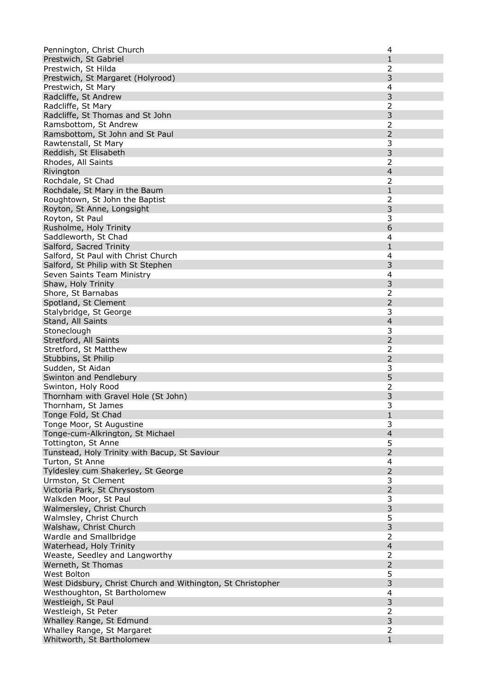| Pennington, Christ Church                                   | 4                   |
|-------------------------------------------------------------|---------------------|
| Prestwich, St Gabriel                                       | $\mathbf{1}$        |
| Prestwich, St Hilda                                         | 2                   |
| Prestwich, St Margaret (Holyrood)                           | 3                   |
| Prestwich, St Mary                                          | 4                   |
| Radcliffe, St Andrew                                        | 3                   |
| Radcliffe, St Mary                                          | 2                   |
| Radcliffe, St Thomas and St John                            | 3                   |
| Ramsbottom, St Andrew                                       | $\overline{2}$      |
| Ramsbottom, St John and St Paul                             | $\overline{2}$      |
| Rawtenstall, St Mary                                        | 3                   |
| Reddish, St Elisabeth                                       | 3                   |
| Rhodes, All Saints                                          | 2                   |
| Rivington                                                   | $\overline{4}$      |
| Rochdale, St Chad                                           | 2                   |
| Rochdale, St Mary in the Baum                               | 1                   |
| Roughtown, St John the Baptist                              | 2                   |
| Royton, St Anne, Longsight                                  | 3                   |
| Royton, St Paul                                             | 3                   |
| Rusholme, Holy Trinity                                      | 6                   |
| Saddleworth, St Chad                                        | 4                   |
| Salford, Sacred Trinity                                     | $\mathbf{1}$        |
| Salford, St Paul with Christ Church                         | 4                   |
| Salford, St Philip with St Stephen                          | 3                   |
| Seven Saints Team Ministry                                  | 4                   |
| Shaw, Holy Trinity                                          | 3                   |
| Shore, St Barnabas                                          | 2                   |
| Spotland, St Clement                                        | $\overline{2}$      |
| Stalybridge, St George                                      | 3                   |
| Stand, All Saints                                           | $\overline{4}$      |
| Stoneclough                                                 | 3                   |
| Stretford, All Saints                                       | $\overline{2}$      |
| Stretford, St Matthew                                       | 2                   |
| Stubbins, St Philip                                         | $\overline{2}$      |
| Sudden, St Aidan                                            | 3                   |
| Swinton and Pendlebury                                      | 5                   |
| Swinton, Holy Rood                                          | 2                   |
| Thornham with Gravel Hole (St John)                         | 3                   |
| Thornham, St James                                          | 3                   |
| Tonge Fold, St Chad                                         | $\mathbf{1}$        |
| Tonge Moor, St Augustine                                    | 3                   |
| Tonge-cum-Alkrington, St Michael<br>Tottington, St Anne     | $\overline{4}$<br>5 |
|                                                             | $\overline{2}$      |
| Tunstead, Holy Trinity with Bacup, St Saviour               | 4                   |
| Turton, St Anne<br>Tyldesley cum Shakerley, St George       | $\overline{2}$      |
| Urmston, St Clement                                         | 3                   |
| Victoria Park, St Chrysostom                                | $\overline{2}$      |
| Walkden Moor, St Paul                                       | 3                   |
| Walmersley, Christ Church                                   | 3                   |
| Walmsley, Christ Church                                     | 5                   |
| Walshaw, Christ Church                                      | 3                   |
| Wardle and Smallbridge                                      | $\overline{2}$      |
| Waterhead, Holy Trinity                                     | $\overline{4}$      |
| Weaste, Seedley and Langworthy                              | 2                   |
| Werneth, St Thomas                                          | $\overline{2}$      |
| West Bolton                                                 | 5                   |
| West Didsbury, Christ Church and Withington, St Christopher | 3                   |
| Westhoughton, St Bartholomew                                | 4                   |
| Westleigh, St Paul                                          | 3                   |
| Westleigh, St Peter                                         | $\overline{2}$      |
| Whalley Range, St Edmund                                    | 3                   |
| Whalley Range, St Margaret                                  | 2                   |
| Whitworth, St Bartholomew                                   | $\mathbf{1}$        |